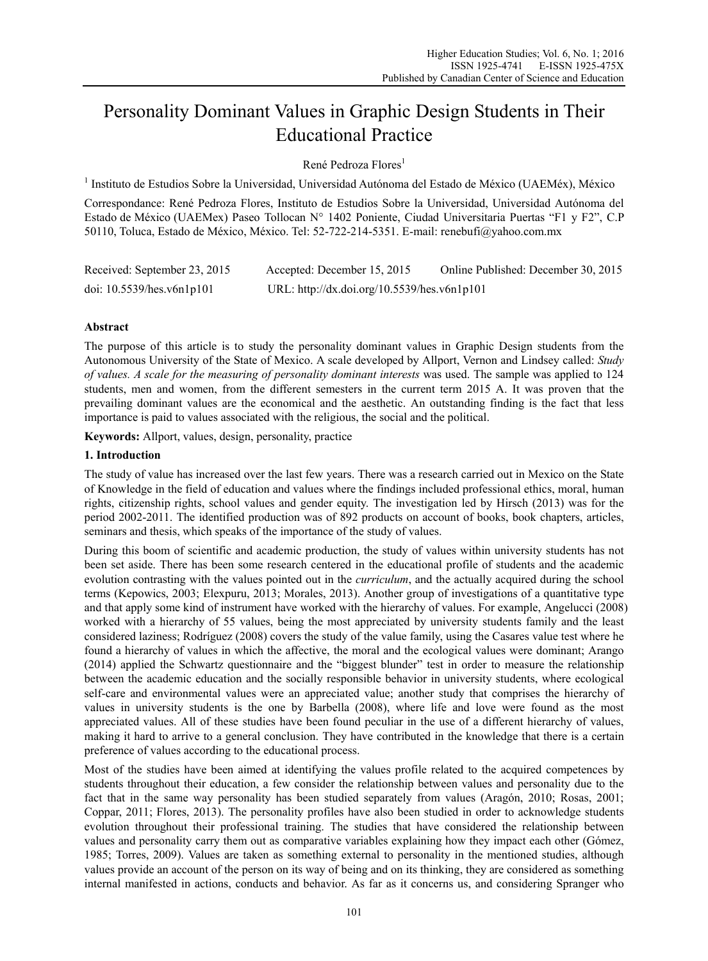# Personality Dominant Values in Graphic Design Students in Their Educational Practice

René Pedroza Flores<sup>1</sup>

<sup>1</sup> Instituto de Estudios Sobre la Universidad, Universidad Autónoma del Estado de México (UAEMéx), México

Correspondance: René Pedroza Flores, Instituto de Estudios Sobre la Universidad, Universidad Autónoma del Estado de México (UAEMex) Paseo Tollocan N° 1402 Poniente, Ciudad Universitaria Puertas "F1 y F2", C.P 50110, Toluca, Estado de México, México. Tel: 52-722-214-5351. E-mail: renebufi@yahoo.com.mx

| Received: September 23, 2015 | Accepted: December 15, 2015                 | Online Published: December 30, 2015 |
|------------------------------|---------------------------------------------|-------------------------------------|
| doi: $10.5539$ /hes.v6n1p101 | URL: http://dx.doi.org/10.5539/hes.v6n1p101 |                                     |

# **Abstract**

The purpose of this article is to study the personality dominant values in Graphic Design students from the Autonomous University of the State of Mexico. A scale developed by Allport, Vernon and Lindsey called: *Study of values. A scale for the measuring of personality dominant interests* was used. The sample was applied to 124 students, men and women, from the different semesters in the current term 2015 A. It was proven that the prevailing dominant values are the economical and the aesthetic. An outstanding finding is the fact that less importance is paid to values associated with the religious, the social and the political.

**Keywords:** Allport, values, design, personality, practice

# **1. Introduction**

The study of value has increased over the last few years. There was a research carried out in Mexico on the State of Knowledge in the field of education and values where the findings included professional ethics, moral, human rights, citizenship rights, school values and gender equity. The investigation led by Hirsch (2013) was for the period 2002-2011. The identified production was of 892 products on account of books, book chapters, articles, seminars and thesis, which speaks of the importance of the study of values.

During this boom of scientific and academic production, the study of values within university students has not been set aside. There has been some research centered in the educational profile of students and the academic evolution contrasting with the values pointed out in the *curriculum*, and the actually acquired during the school terms (Kepowics, 2003; Elexpuru, 2013; Morales, 2013). Another group of investigations of a quantitative type and that apply some kind of instrument have worked with the hierarchy of values. For example, Angelucci (2008) worked with a hierarchy of 55 values, being the most appreciated by university students family and the least considered laziness; Rodríguez (2008) covers the study of the value family, using the Casares value test where he found a hierarchy of values in which the affective, the moral and the ecological values were dominant; Arango (2014) applied the Schwartz questionnaire and the "biggest blunder" test in order to measure the relationship between the academic education and the socially responsible behavior in university students, where ecological self-care and environmental values were an appreciated value; another study that comprises the hierarchy of values in university students is the one by Barbella (2008), where life and love were found as the most appreciated values. All of these studies have been found peculiar in the use of a different hierarchy of values, making it hard to arrive to a general conclusion. They have contributed in the knowledge that there is a certain preference of values according to the educational process.

Most of the studies have been aimed at identifying the values profile related to the acquired competences by students throughout their education, a few consider the relationship between values and personality due to the fact that in the same way personality has been studied separately from values (Aragón, 2010; Rosas, 2001; Coppar, 2011; Flores, 2013). The personality profiles have also been studied in order to acknowledge students evolution throughout their professional training. The studies that have considered the relationship between values and personality carry them out as comparative variables explaining how they impact each other (Gómez, 1985; Torres, 2009). Values are taken as something external to personality in the mentioned studies, although values provide an account of the person on its way of being and on its thinking, they are considered as something internal manifested in actions, conducts and behavior. As far as it concerns us, and considering Spranger who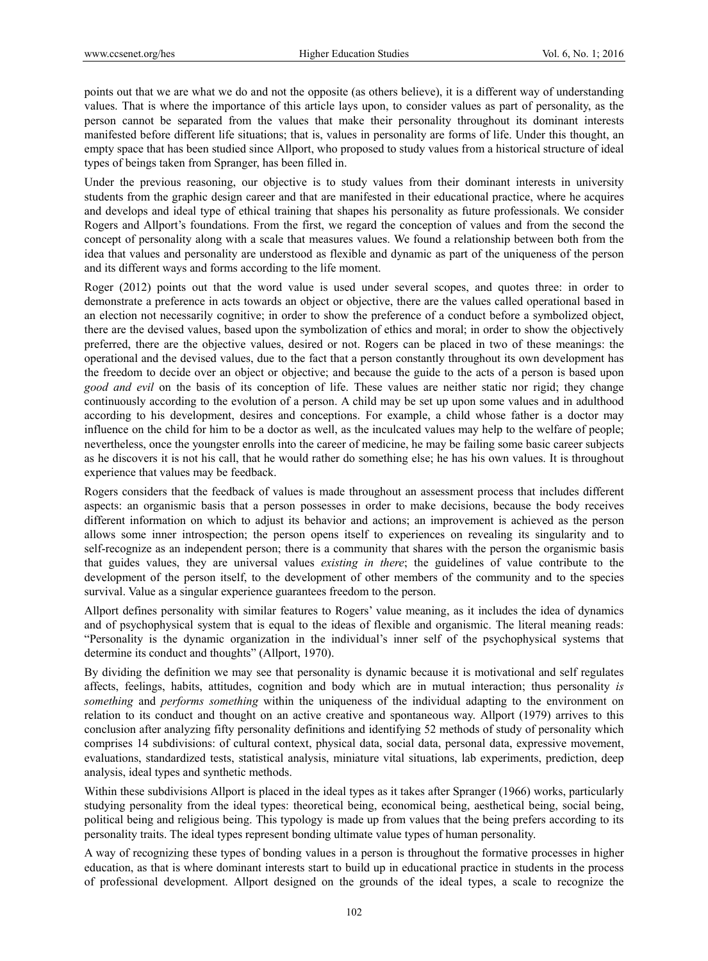points out that we are what we do and not the opposite (as others believe), it is a different way of understanding values. That is where the importance of this article lays upon, to consider values as part of personality, as the person cannot be separated from the values that make their personality throughout its dominant interests manifested before different life situations; that is, values in personality are forms of life. Under this thought, an empty space that has been studied since Allport, who proposed to study values from a historical structure of ideal types of beings taken from Spranger, has been filled in.

Under the previous reasoning, our objective is to study values from their dominant interests in university students from the graphic design career and that are manifested in their educational practice, where he acquires and develops and ideal type of ethical training that shapes his personality as future professionals. We consider Rogers and Allport's foundations. From the first, we regard the conception of values and from the second the concept of personality along with a scale that measures values. We found a relationship between both from the idea that values and personality are understood as flexible and dynamic as part of the uniqueness of the person and its different ways and forms according to the life moment.

Roger (2012) points out that the word value is used under several scopes, and quotes three: in order to demonstrate a preference in acts towards an object or objective, there are the values called operational based in an election not necessarily cognitive; in order to show the preference of a conduct before a symbolized object, there are the devised values, based upon the symbolization of ethics and moral; in order to show the objectively preferred, there are the objective values, desired or not. Rogers can be placed in two of these meanings: the operational and the devised values, due to the fact that a person constantly throughout its own development has the freedom to decide over an object or objective; and because the guide to the acts of a person is based upon *good and evil* on the basis of its conception of life. These values are neither static nor rigid; they change continuously according to the evolution of a person. A child may be set up upon some values and in adulthood according to his development, desires and conceptions. For example, a child whose father is a doctor may influence on the child for him to be a doctor as well, as the inculcated values may help to the welfare of people; nevertheless, once the youngster enrolls into the career of medicine, he may be failing some basic career subjects as he discovers it is not his call, that he would rather do something else; he has his own values. It is throughout experience that values may be feedback.

Rogers considers that the feedback of values is made throughout an assessment process that includes different aspects: an organismic basis that a person possesses in order to make decisions, because the body receives different information on which to adjust its behavior and actions; an improvement is achieved as the person allows some inner introspection; the person opens itself to experiences on revealing its singularity and to self-recognize as an independent person; there is a community that shares with the person the organismic basis that guides values, they are universal values *existing in there*; the guidelines of value contribute to the development of the person itself, to the development of other members of the community and to the species survival. Value as a singular experience guarantees freedom to the person.

Allport defines personality with similar features to Rogers' value meaning, as it includes the idea of dynamics and of psychophysical system that is equal to the ideas of flexible and organismic. The literal meaning reads: "Personality is the dynamic organization in the individual's inner self of the psychophysical systems that determine its conduct and thoughts" (Allport, 1970).

By dividing the definition we may see that personality is dynamic because it is motivational and self regulates affects, feelings, habits, attitudes, cognition and body which are in mutual interaction; thus personality *is something* and *performs something* within the uniqueness of the individual adapting to the environment on relation to its conduct and thought on an active creative and spontaneous way. Allport (1979) arrives to this conclusion after analyzing fifty personality definitions and identifying 52 methods of study of personality which comprises 14 subdivisions: of cultural context, physical data, social data, personal data, expressive movement, evaluations, standardized tests, statistical analysis, miniature vital situations, lab experiments, prediction, deep analysis, ideal types and synthetic methods.

Within these subdivisions Allport is placed in the ideal types as it takes after Spranger (1966) works, particularly studying personality from the ideal types: theoretical being, economical being, aesthetical being, social being, political being and religious being. This typology is made up from values that the being prefers according to its personality traits. The ideal types represent bonding ultimate value types of human personality.

A way of recognizing these types of bonding values in a person is throughout the formative processes in higher education, as that is where dominant interests start to build up in educational practice in students in the process of professional development. Allport designed on the grounds of the ideal types, a scale to recognize the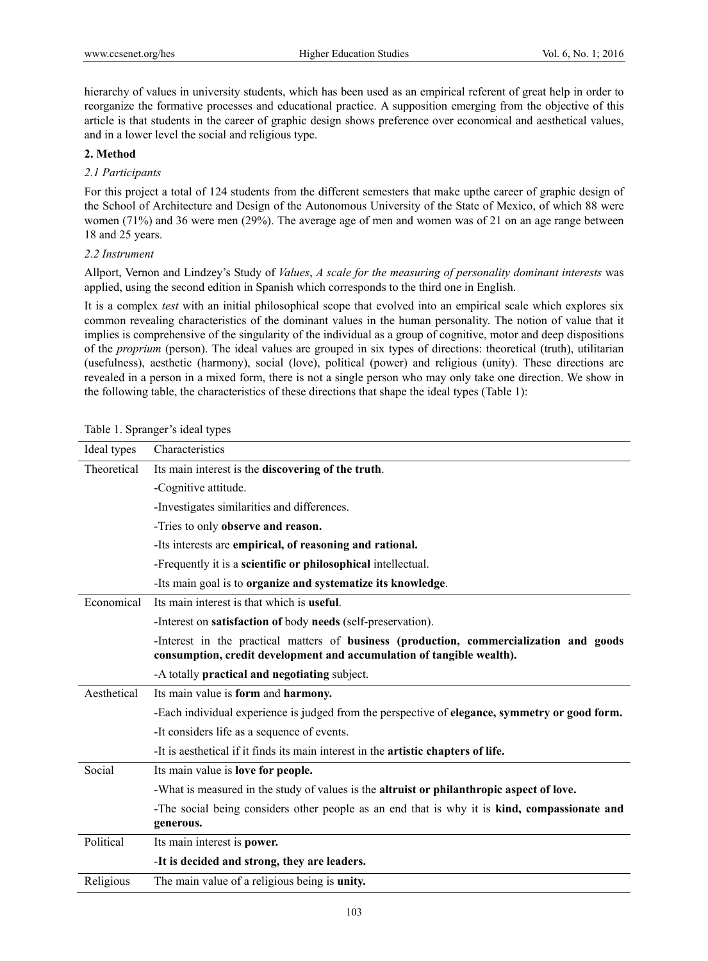hierarchy of values in university students, which has been used as an empirical referent of great help in order to reorganize the formative processes and educational practice. A supposition emerging from the objective of this article is that students in the career of graphic design shows preference over economical and aesthetical values, and in a lower level the social and religious type.

## **2. Method**

## *2.1 Participants*

For this project a total of 124 students from the different semesters that make upthe career of graphic design of the School of Architecture and Design of the Autonomous University of the State of Mexico, of which 88 were women (71%) and 36 were men (29%). The average age of men and women was of 21 on an age range between 18 and 25 years.

## *2.2 Instrument*

Allport, Vernon and Lindzey's Study of *Values*, *A scale for the measuring of personality dominant interests* was applied, using the second edition in Spanish which corresponds to the third one in English.

It is a complex *test* with an initial philosophical scope that evolved into an empirical scale which explores six common revealing characteristics of the dominant values in the human personality. The notion of value that it implies is comprehensive of the singularity of the individual as a group of cognitive, motor and deep dispositions of the *proprium* (person). The ideal values are grouped in six types of directions: theoretical (truth), utilitarian (usefulness), aesthetic (harmony), social (love), political (power) and religious (unity). These directions are revealed in a person in a mixed form, there is not a single person who may only take one direction. We show in the following table, the characteristics of these directions that shape the ideal types (Table 1):

|  |  | Table 1. Spranger's ideal types |
|--|--|---------------------------------|
|--|--|---------------------------------|

| Ideal types | Characteristics                                                                                                                                                  |
|-------------|------------------------------------------------------------------------------------------------------------------------------------------------------------------|
| Theoretical | Its main interest is the discovering of the truth.                                                                                                               |
|             | -Cognitive attitude.                                                                                                                                             |
|             | -Investigates similarities and differences.                                                                                                                      |
|             | -Tries to only observe and reason.                                                                                                                               |
|             | -Its interests are empirical, of reasoning and rational.                                                                                                         |
|             | -Frequently it is a scientific or philosophical intellectual.                                                                                                    |
|             | -Its main goal is to organize and systematize its knowledge.                                                                                                     |
| Economical  | Its main interest is that which is useful.                                                                                                                       |
|             | -Interest on satisfaction of body needs (self-preservation).                                                                                                     |
|             | -Interest in the practical matters of business (production, commercialization and goods<br>consumption, credit development and accumulation of tangible wealth). |
|             |                                                                                                                                                                  |
|             | -A totally practical and negotiating subject.                                                                                                                    |
| Aesthetical | Its main value is form and harmony.                                                                                                                              |
|             | -Each individual experience is judged from the perspective of elegance, symmetry or good form.                                                                   |
|             | -It considers life as a sequence of events.                                                                                                                      |
|             | -It is aesthetical if it finds its main interest in the artistic chapters of life.                                                                               |
| Social      | Its main value is love for people.                                                                                                                               |
|             | -What is measured in the study of values is the altruist or philanthropic aspect of love.                                                                        |
|             | -The social being considers other people as an end that is why it is kind, compassionate and<br>generous.                                                        |
| Political   | Its main interest is power.                                                                                                                                      |
|             | -It is decided and strong, they are leaders.                                                                                                                     |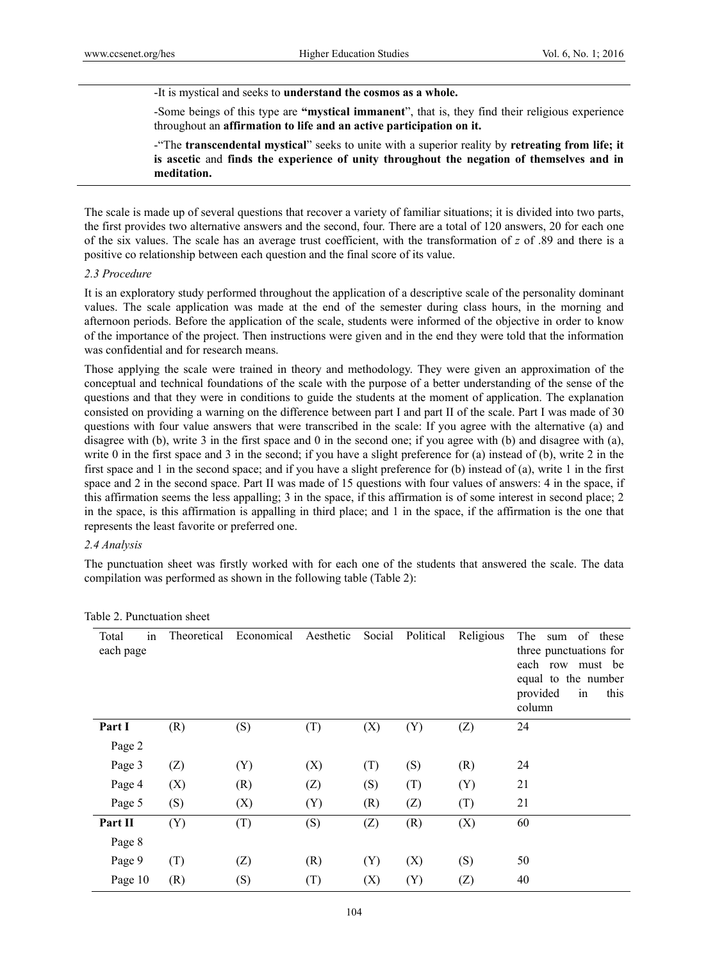## -It is mystical and seeks to **understand the cosmos as a whole.**

-Some beings of this type are **"mystical immanent**", that is, they find their religious experience throughout an **affirmation to life and an active participation on it.**

-"The **transcendental mystical**" seeks to unite with a superior reality by **retreating from life; it is ascetic** and **finds the experience of unity throughout the negation of themselves and in meditation.**

The scale is made up of several questions that recover a variety of familiar situations; it is divided into two parts, the first provides two alternative answers and the second, four. There are a total of 120 answers, 20 for each one of the six values. The scale has an average trust coefficient, with the transformation of *z* of .89 and there is a positive co relationship between each question and the final score of its value.

#### *2.3 Procedure*

It is an exploratory study performed throughout the application of a descriptive scale of the personality dominant values. The scale application was made at the end of the semester during class hours, in the morning and afternoon periods. Before the application of the scale, students were informed of the objective in order to know of the importance of the project. Then instructions were given and in the end they were told that the information was confidential and for research means.

Those applying the scale were trained in theory and methodology. They were given an approximation of the conceptual and technical foundations of the scale with the purpose of a better understanding of the sense of the questions and that they were in conditions to guide the students at the moment of application. The explanation consisted on providing a warning on the difference between part I and part II of the scale. Part I was made of 30 questions with four value answers that were transcribed in the scale: If you agree with the alternative (a) and disagree with (b), write 3 in the first space and 0 in the second one; if you agree with (b) and disagree with (a), write 0 in the first space and 3 in the second; if you have a slight preference for (a) instead of (b), write 2 in the first space and 1 in the second space; and if you have a slight preference for (b) instead of (a), write 1 in the first space and 2 in the second space. Part II was made of 15 questions with four values of answers: 4 in the space, if this affirmation seems the less appalling; 3 in the space, if this affirmation is of some interest in second place; 2 in the space, is this affirmation is appalling in third place; and 1 in the space, if the affirmation is the one that represents the least favorite or preferred one.

#### *2.4 Analysis*

The punctuation sheet was firstly worked with for each one of the students that answered the scale. The data compilation was performed as shown in the following table (Table 2):

| in<br>Total<br>each page | Theoretical | Economical | Aesthetic | Social | Political | Religious | The<br>sum of these<br>three punctuations for<br>each row must be<br>equal to the number<br>provided<br>in<br>this<br>column |
|--------------------------|-------------|------------|-----------|--------|-----------|-----------|------------------------------------------------------------------------------------------------------------------------------|
| Part I                   | (R)         | (S)        | (T)       | (X)    | (Y)       | (Z)       | 24                                                                                                                           |
| Page 2                   |             |            |           |        |           |           |                                                                                                                              |
| Page 3                   | (Z)         | (Y)        | (X)       | (T)    | (S)       | (R)       | 24                                                                                                                           |
| Page 4                   | (X)         | (R)        | (Z)       | (S)    | (T)       | (Y)       | 21                                                                                                                           |
| Page 5                   | (S)         | (X)        | (Y)       | (R)    | (Z)       | (T)       | 21                                                                                                                           |
| Part II                  | (Y)         | (T)        | (S)       | (Z)    | (R)       | (X)       | 60                                                                                                                           |
| Page 8                   |             |            |           |        |           |           |                                                                                                                              |
| Page 9                   | (T)         | (Z)        | (R)       | (Y)    | (X)       | (S)       | 50                                                                                                                           |
| Page 10                  | (R)         | (S)        | (T)       | (X)    | (Y)       | (Z)       | 40                                                                                                                           |

#### Table 2. Punctuation sheet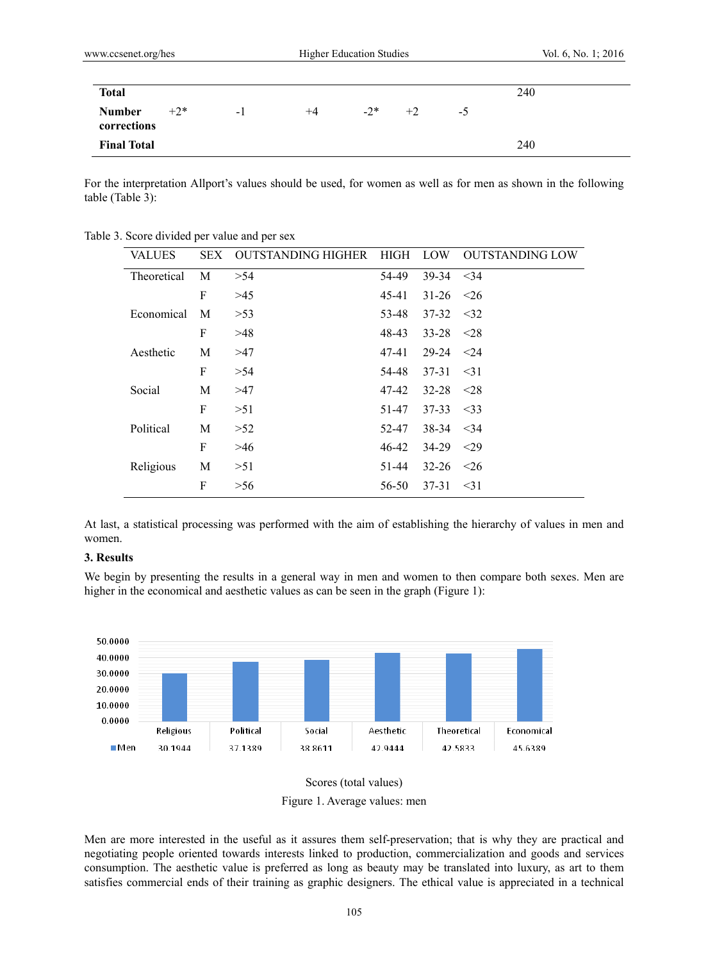| <b>Total</b>                 |       |     |      |       |      |      | 240 |
|------------------------------|-------|-----|------|-------|------|------|-----|
| <b>Number</b><br>corrections | $+2*$ | - 1 | $+4$ | $-2*$ | $+2$ | $-5$ |     |
| <b>Final Total</b>           |       |     |      |       |      |      | 240 |

For the interpretation Allport's values should be used, for women as well as for men as shown in the following table (Table 3):

| <b>VALUES</b> | SEX. | <b>OUTSTANDING HIGHER</b> | HIGH  | LOW       | <b>OUTSTANDING LOW</b> |
|---------------|------|---------------------------|-------|-----------|------------------------|
| Theoretical   | М    | >54                       | 54-49 | 39-34     | $<$ 34                 |
|               | F    | >45                       | 45-41 | $31-26$   | $\leq 26$              |
| Economical    | М    | >53                       | 53-48 | $37 - 32$ | $\leq$ 32              |
|               | F    | >48                       | 48-43 | $33 - 28$ | $\leq$ 28              |
| Aesthetic     | М    | >47                       | 47-41 | 29-24     | $\leq$ 24              |
|               | F    | >54                       | 54-48 | $37 - 31$ | $\leq$ 31              |
| Social        | М    | >47                       | 47-42 | $32 - 28$ | $\leq$ 28              |
|               | F    | >51                       | 51-47 | $37 - 33$ | $<$ 33                 |
| Political     | М    | >52                       | 52-47 | 38-34     | $<$ 34                 |
|               | F    | >46                       | 46-42 | 34-29     | $29$                   |
| Religious     | M    | >51                       | 51-44 | $32 - 26$ | $\leq 26$              |
|               | F    | $>56$                     | 56-50 | 37-31     | $<$ 31                 |

Table 3. Score divided per value and per sex

At last, a statistical processing was performed with the aim of establishing the hierarchy of values in men and women.

# **3. Results**

We begin by presenting the results in a general way in men and women to then compare both sexes. Men are higher in the economical and aesthetic values as can be seen in the graph (Figure 1):





Men are more interested in the useful as it assures them self-preservation; that is why they are practical and negotiating people oriented towards interests linked to production, commercialization and goods and services consumption. The aesthetic value is preferred as long as beauty may be translated into luxury, as art to them satisfies commercial ends of their training as graphic designers. The ethical value is appreciated in a technical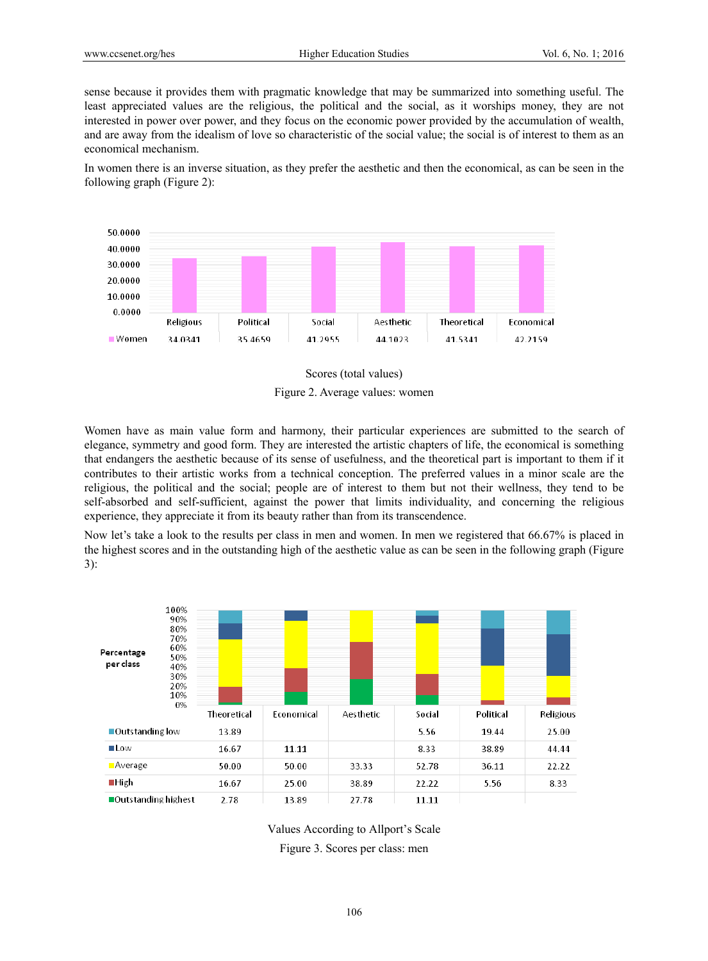sense because it provides them with pragmatic knowledge that may be summarized into something useful. The least appreciated values are the religious, the political and the social, as it worships money, they are not interested in power over power, and they focus on the economic power provided by the accumulation of wealth, and are away from the idealism of love so characteristic of the social value; the social is of interest to them as an economical mechanism.

In women there is an inverse situation, as they prefer the aesthetic and then the economical, as can be seen in the following graph (Figure 2):



Scores (total values)

Figure 2. Average values: women

Women have as main value form and harmony, their particular experiences are submitted to the search of elegance, symmetry and good form. They are interested the artistic chapters of life, the economical is something that endangers the aesthetic because of its sense of usefulness, and the theoretical part is important to them if it contributes to their artistic works from a technical conception. The preferred values in a minor scale are the religious, the political and the social; people are of interest to them but not their wellness, they tend to be self-absorbed and self-sufficient, against the power that limits individuality, and concerning the religious experience, they appreciate it from its beauty rather than from its transcendence.

Now let's take a look to the results per class in men and women. In men we registered that 66.67% is placed in the highest scores and in the outstanding high of the aesthetic value as can be seen in the following graph (Figure 3):



Values According to Allport's Scale

Figure 3. Scores per class: men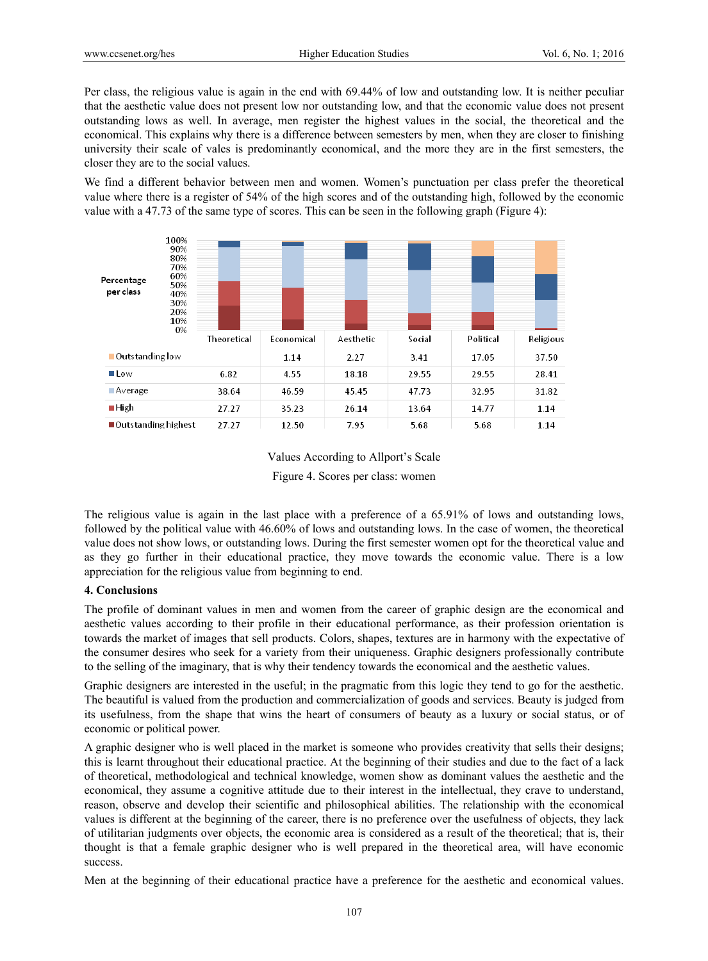Per class, the religious value is again in the end with 69.44% of low and outstanding low. It is neither peculiar that the aesthetic value does not present low nor outstanding low, and that the economic value does not present outstanding lows as well. In average, men register the highest values in the social, the theoretical and the economical. This explains why there is a difference between semesters by men, when they are closer to finishing university their scale of vales is predominantly economical, and the more they are in the first semesters, the closer they are to the social values.

We find a different behavior between men and women. Women's punctuation per class prefer the theoretical value where there is a register of 54% of the high scores and of the outstanding high, followed by the economic value with a 47.73 of the same type of scores. This can be seen in the following graph (Figure 4):



Values According to Allport's Scale

Figure 4. Scores per class: women

The religious value is again in the last place with a preference of a 65.91% of lows and outstanding lows, followed by the political value with 46.60% of lows and outstanding lows. In the case of women, the theoretical value does not show lows, or outstanding lows. During the first semester women opt for the theoretical value and as they go further in their educational practice, they move towards the economic value. There is a low appreciation for the religious value from beginning to end.

# **4. Conclusions**

The profile of dominant values in men and women from the career of graphic design are the economical and aesthetic values according to their profile in their educational performance, as their profession orientation is towards the market of images that sell products. Colors, shapes, textures are in harmony with the expectative of the consumer desires who seek for a variety from their uniqueness. Graphic designers professionally contribute to the selling of the imaginary, that is why their tendency towards the economical and the aesthetic values.

Graphic designers are interested in the useful; in the pragmatic from this logic they tend to go for the aesthetic. The beautiful is valued from the production and commercialization of goods and services. Beauty is judged from its usefulness, from the shape that wins the heart of consumers of beauty as a luxury or social status, or of economic or political power.

A graphic designer who is well placed in the market is someone who provides creativity that sells their designs; this is learnt throughout their educational practice. At the beginning of their studies and due to the fact of a lack of theoretical, methodological and technical knowledge, women show as dominant values the aesthetic and the economical, they assume a cognitive attitude due to their interest in the intellectual, they crave to understand, reason, observe and develop their scientific and philosophical abilities. The relationship with the economical values is different at the beginning of the career, there is no preference over the usefulness of objects, they lack of utilitarian judgments over objects, the economic area is considered as a result of the theoretical; that is, their thought is that a female graphic designer who is well prepared in the theoretical area, will have economic success.

Men at the beginning of their educational practice have a preference for the aesthetic and economical values.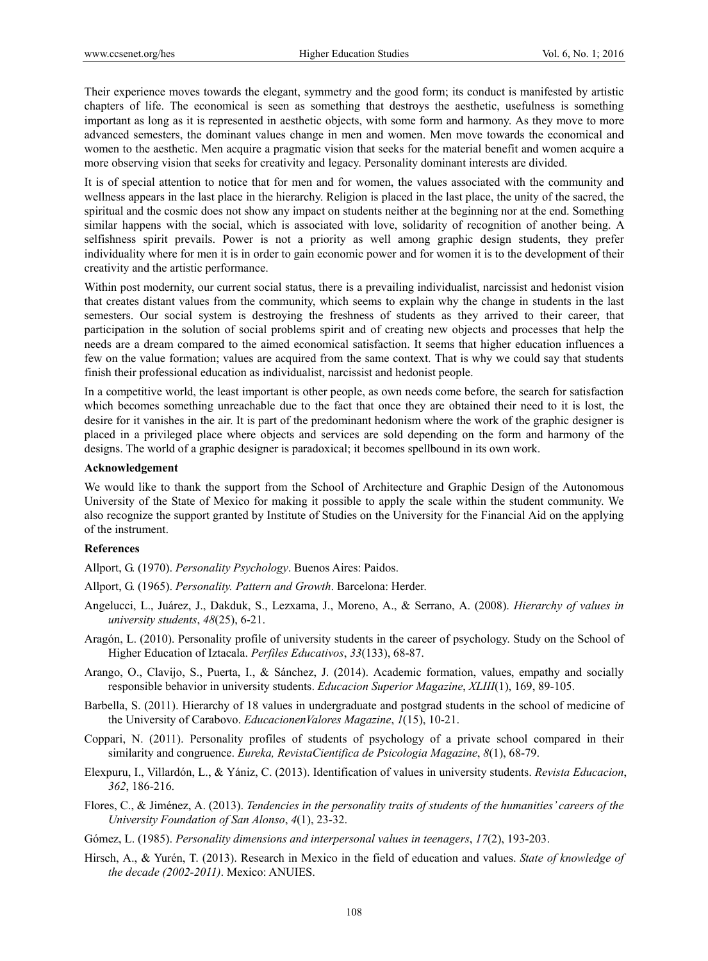Their experience moves towards the elegant, symmetry and the good form; its conduct is manifested by artistic chapters of life. The economical is seen as something that destroys the aesthetic, usefulness is something important as long as it is represented in aesthetic objects, with some form and harmony. As they move to more advanced semesters, the dominant values change in men and women. Men move towards the economical and women to the aesthetic. Men acquire a pragmatic vision that seeks for the material benefit and women acquire a more observing vision that seeks for creativity and legacy. Personality dominant interests are divided.

It is of special attention to notice that for men and for women, the values associated with the community and wellness appears in the last place in the hierarchy. Religion is placed in the last place, the unity of the sacred, the spiritual and the cosmic does not show any impact on students neither at the beginning nor at the end. Something similar happens with the social, which is associated with love, solidarity of recognition of another being. A selfishness spirit prevails. Power is not a priority as well among graphic design students, they prefer individuality where for men it is in order to gain economic power and for women it is to the development of their creativity and the artistic performance.

Within post modernity, our current social status, there is a prevailing individualist, narcissist and hedonist vision that creates distant values from the community, which seems to explain why the change in students in the last semesters. Our social system is destroying the freshness of students as they arrived to their career, that participation in the solution of social problems spirit and of creating new objects and processes that help the needs are a dream compared to the aimed economical satisfaction. It seems that higher education influences a few on the value formation; values are acquired from the same context. That is why we could say that students finish their professional education as individualist, narcissist and hedonist people.

In a competitive world, the least important is other people, as own needs come before, the search for satisfaction which becomes something unreachable due to the fact that once they are obtained their need to it is lost, the desire for it vanishes in the air. It is part of the predominant hedonism where the work of the graphic designer is placed in a privileged place where objects and services are sold depending on the form and harmony of the designs. The world of a graphic designer is paradoxical; it becomes spellbound in its own work.

#### **Acknowledgement**

We would like to thank the support from the School of Architecture and Graphic Design of the Autonomous University of the State of Mexico for making it possible to apply the scale within the student community. We also recognize the support granted by Institute of Studies on the University for the Financial Aid on the applying of the instrument.

# **References**

Allport, G. (1970). *Personality Psychology*. Buenos Aires: Paidos.

- Allport, G. (1965). *Personality. Pattern and Growth*. Barcelona: Herder.
- Angelucci, L., Juárez, J., Dakduk, S., Lezxama, J., Moreno, A., & Serrano, A. (2008). *Hierarchy of values in university students*, *48*(25), 6-21.
- Aragón, L. (2010). Personality profile of university students in the career of psychology. Study on the School of Higher Education of Iztacala. *Perfiles Educativos*, *33*(133), 68-87.
- Arango, O., Clavijo, S., Puerta, I., & Sánchez, J. (2014). Academic formation, values, empathy and socially responsible behavior in university students. *Educacion Superior Magazine*, *XLIII*(1), 169, 89-105.
- Barbella, S. (2011). Hierarchy of 18 values in undergraduate and postgrad students in the school of medicine of the University of Carabovo. *EducacionenValores Magazine*, *1*(15), 10-21.
- Coppari, N. (2011). Personality profiles of students of psychology of a private school compared in their similarity and congruence. *Eureka, RevistaCientifica de Psicologia Magazine*, *8*(1), 68-79.
- Elexpuru, I., Villardón, L., & Yániz, C. (2013). Identification of values in university students. *Revista Educacion*, *362*, 186-216.
- Flores, C., & Jiménez, A. (2013). *Tendencies in the personality traits of students of the humanities' careers of the University Foundation of San Alonso*, *4*(1), 23-32.
- Gómez, L. (1985). *Personality dimensions and interpersonal values in teenagers*, *17*(2), 193-203.
- Hirsch, A., & Yurén, T. (2013). Research in Mexico in the field of education and values. *State of knowledge of the decade (2002-2011)*. Mexico: ANUIES.